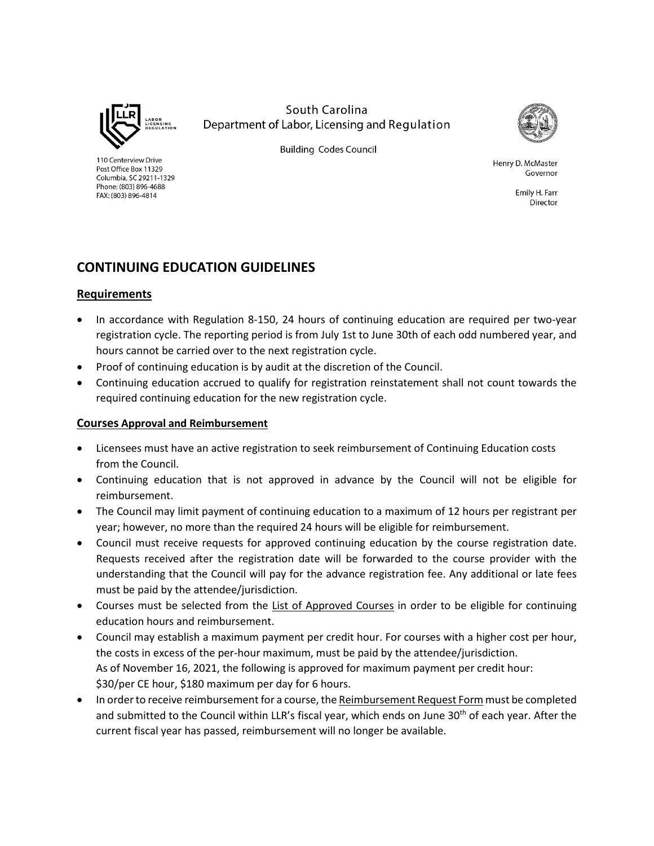

110 Centerview Drive

Post Office Box 11329

FAX: (803) 896-4814

Columbia, SC 29211-1329 Phone: (803) 896-4688

South Carolina Department of Labor, Licensing and Regulation



**Building Codes Council** 

Henry D. McMaster Governor

> Emily H. Farr Director

## **CONTINUING EDUCATION GUIDELINES**

## **Requirements**

- In accordance with Regulation 8-150, 24 hours of continuing education are required per two-year registration cycle. The reporting period is from July 1st to June 30th of each odd numbered year, and hours cannot be carried over to the next registration cycle.
- Proof of continuing education is by audit at the discretion of the Council.
- Continuing education accrued to qualify for registration reinstatement shall not count towards the required continuing education for the new registration cycle.

## **Courses Approval and Reimbursement**

- Licensees must have an active registration to seek reimbursement of Continuing Education costs from the Council.
- Continuing education that is not approved in advance by the Council will not be eligible for reimbursement.
- The Council may limit payment of continuing education to a maximum of 12 hours per registrant per year; however, no more than the required 24 hours will be eligible for reimbursement.
- Council must receive requests for approved continuing education by the course registration date. Requests received after the registration date will be forwarded to the course provider with the understanding that the Council will pay for the advance registration fee. Any additional or late fees must be paid by the attendee/jurisdiction.
- Courses must be selected from the List of Approved Courses in order to be eligible for continuing education hours and reimbursement.
- Council may establish a maximum payment per credit hour. For courses with a higher cost per hour, the costs in excess of the per-hour maximum, must be paid by the attendee/jurisdiction. As of November 16, 2021, the following is approved for maximum payment per credit hour: \$30/per CE hour, \$180 maximum per day for 6 hours.
- In order to receive reimbursement for a course, the Reimbursement Request Form must be completed and submitted to the Council within LLR's fiscal year, which ends on June 30<sup>th</sup> of each year. After the current fiscal year has passed, reimbursement will no longer be available.